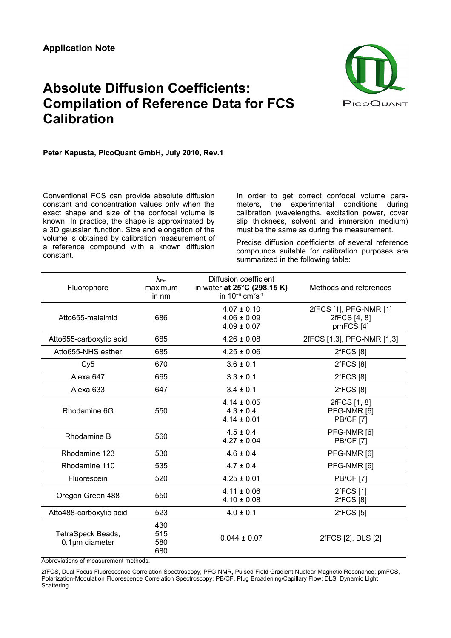## **Absolute Diffusion Coefficients: Compilation of Reference Data for FCS Calibration**



**Peter Kapusta, PicoQuant GmbH, July 2010, Rev.1**

Conventional FCS can provide absolute diffusion constant and concentration values only when the exact shape and size of the confocal volume is known. In practice, the shape is approximated by a 3D gaussian function. Size and elongation of the volume is obtained by calibration measurement of a reference compound with a known diffusion constant.

In order to get correct confocal volume parameters, the experimental conditions during calibration (wavelengths, excitation power, cover slip thickness, solvent and immersion medium) must be the same as during the measurement.

Precise diffusion coefficients of several reference compounds suitable for calibration purposes are summarized in the following table:

| Fluorophore                               | $\lambda_{\textsf{Em}}$<br>maximum<br>in nm | Diffusion coefficient<br>in water at 25°C (298.15 K)<br>in $10^{-6}$ cm <sup>2</sup> s <sup>-1</sup> | Methods and references                              |
|-------------------------------------------|---------------------------------------------|------------------------------------------------------------------------------------------------------|-----------------------------------------------------|
| Atto655-maleimid                          | 686                                         | $4.07 \pm 0.10$<br>$4.06 \pm 0.09$<br>$4.09 \pm 0.07$                                                | 2fFCS [1], PFG-NMR [1]<br>2fFCS [4, 8]<br>pmFCS [4] |
| Atto655-carboxylic acid                   | 685                                         | $4.26 \pm 0.08$                                                                                      | 2fFCS [1,3], PFG-NMR [1,3]                          |
| Atto655-NHS esther                        | 685                                         | $4.25 \pm 0.06$                                                                                      | 2fFCS [8]                                           |
| Cy5                                       | 670                                         | $3.6 \pm 0.1$                                                                                        | 2fFCS [8]                                           |
| Alexa 647                                 | 665                                         | $3.3 \pm 0.1$                                                                                        | <b>2fFCS [8]</b>                                    |
| Alexa 633                                 | 647                                         | $3.4 \pm 0.1$                                                                                        | 2fFCS [8]                                           |
| Rhodamine 6G                              | 550                                         | $4.14 \pm 0.05$<br>$4.3 \pm 0.4$<br>$4.14 \pm 0.01$                                                  | 2fFCS [1, 8]<br>PFG-NMR [6]<br><b>PB/CF [7]</b>     |
| Rhodamine B                               | 560                                         | $4.5 \pm 0.4$<br>$4.27 \pm 0.04$                                                                     | PFG-NMR [6]<br><b>PB/CF [7]</b>                     |
| Rhodamine 123                             | 530                                         | $4.6 \pm 0.4$                                                                                        | PFG-NMR [6]                                         |
| Rhodamine 110                             | 535                                         | $4.7 \pm 0.4$                                                                                        | PFG-NMR [6]                                         |
| Fluorescein                               | 520                                         | $4.25 \pm 0.01$                                                                                      | <b>PB/CF [7]</b>                                    |
| Oregon Green 488                          | 550                                         | $4.11 \pm 0.06$<br>$4.10 \pm 0.08$                                                                   | 2fFCS [1]<br><b>2fFCS</b> [8]                       |
| Atto488-carboxylic acid                   | 523                                         | $4.0 \pm 0.1$                                                                                        | 2fFCS [5]                                           |
| TetraSpeck Beads,<br>$0.1 \mu m$ diameter | 430<br>515<br>580<br>680                    | $0.044 \pm 0.07$                                                                                     | 2fFCS [2], DLS [2]                                  |

Abbreviations of measurement methods:

2fFCS, Dual Focus Fluorescence Correlation Spectroscopy; PFG-NMR, Pulsed Field Gradient Nuclear Magnetic Resonance; pmFCS, Polarization-Modulation Fluorescence Correlation Spectroscopy; PB/CF, Plug Broadening/Capillary Flow; DLS, Dynamic Light Scattering.